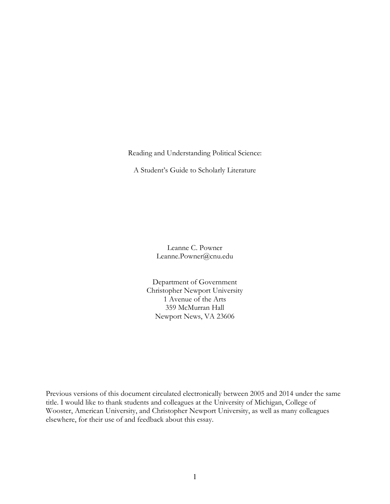Reading and Understanding Political Science:

A Student's Guide to Scholarly Literature

Leanne C. Powner Leanne.Powner@cnu.edu

Department of Government Christopher Newport University 1 Avenue of the Arts 359 McMurran Hall Newport News, VA 23606

Previous versions of this document circulated electronically between 2005 and 2014 under the same title. I would like to thank students and colleagues at the University of Michigan, College of Wooster, American University, and Christopher Newport University, as well as many colleagues elsewhere, for their use of and feedback about this essay.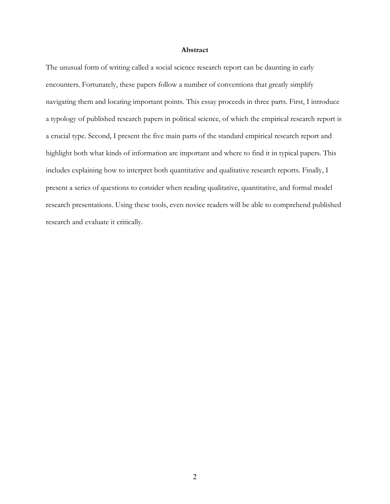#### **Abstract**

The unusual form of writing called a social science research report can be daunting in early encounters. Fortunately, these papers follow a number of conventions that greatly simplify navigating them and locating important points. This essay proceeds in three parts. First, I introduce a typology of published research papers in political science, of which the empirical research report is a crucial type. Second, I present the five main parts of the standard empirical research report and highlight both what kinds of information are important and where to find it in typical papers. This includes explaining how to interpret both quantitative and qualitative research reports. Finally, I present a series of questions to consider when reading qualitative, quantitative, and formal model research presentations. Using these tools, even novice readers will be able to comprehend published research and evaluate it critically.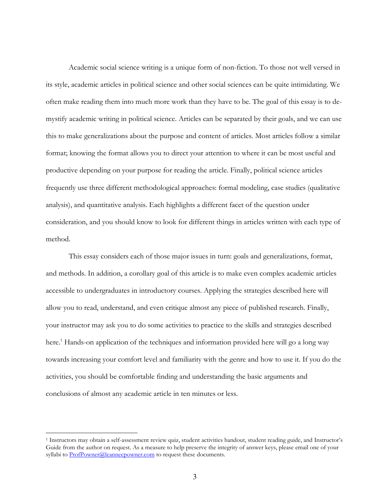Academic social science writing is a unique form of non-fiction. To those not well versed in its style, academic articles in political science and other social sciences can be quite intimidating. We often make reading them into much more work than they have to be. The goal of this essay is to demystify academic writing in political science. Articles can be separated by their goals, and we can use this to make generalizations about the purpose and content of articles. Most articles follow a similar format; knowing the format allows you to direct your attention to where it can be most useful and productive depending on your purpose for reading the article. Finally, political science articles frequently use three different methodological approaches: formal modeling, case studies (qualitative analysis), and quantitative analysis. Each highlights a different facet of the question under consideration, and you should know to look for different things in articles written with each type of method.

 This essay considers each of those major issues in turn: goals and generalizations, format, and methods. In addition, a corollary goal of this article is to make even complex academic articles accessible to undergraduates in introductory courses. Applying the strategies described here will allow you to read, understand, and even critique almost any piece of published research. Finally, your instructor may ask you to do some activities to practice to the skills and strategies described here.<sup>1</sup> Hands-on application of the techniques and information provided here will go a long way towards increasing your comfort level and familiarity with the genre and how to use it. If you do the activities, you should be comfortable finding and understanding the basic arguments and conclusions of almost any academic article in ten minutes or less.

<sup>&</sup>lt;sup>1</sup> Instructors may obtain a self-assessment review quiz, student activities handout, student reading guide, and Instructor's Guide from the author on request. As a measure to help preserve the integrity of answer keys, please email one of your syllabi to **ProfPowner@leannecpowner.com** to request these documents.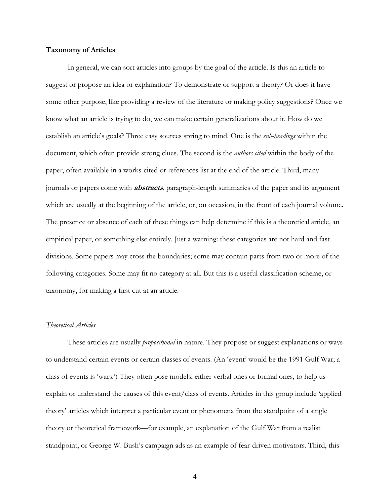#### **Taxonomy of Articles**

In general, we can sort articles into groups by the goal of the article. Is this an article to suggest or propose an idea or explanation? To demonstrate or support a theory? Or does it have some other purpose, like providing a review of the literature or making policy suggestions? Once we know what an article is trying to do, we can make certain generalizations about it. How do we establish an article's goals? Three easy sources spring to mind. One is the *sub-headings* within the document, which often provide strong clues. The second is the *authors cited* within the body of the paper, often available in a works-cited or references list at the end of the article. Third, many journals or papers come with **abstracts**, paragraph-length summaries of the paper and its argument which are usually at the beginning of the article, or, on occasion, in the front of each journal volume. The presence or absence of each of these things can help determine if this is a theoretical article, an empirical paper, or something else entirely. Just a warning: these categories are not hard and fast divisions. Some papers may cross the boundaries; some may contain parts from two or more of the following categories. Some may fit no category at all. But this is a useful classification scheme, or taxonomy, for making a first cut at an article.

### *Theoretical Articles*

These articles are usually *propositional* in nature. They propose or suggest explanations or ways to understand certain events or certain classes of events. (An 'event' would be the 1991 Gulf War; a class of events is 'wars.') They often pose models, either verbal ones or formal ones, to help us explain or understand the causes of this event/class of events. Articles in this group include 'applied theory' articles which interpret a particular event or phenomena from the standpoint of a single theory or theoretical framework—for example, an explanation of the Gulf War from a realist standpoint, or George W. Bush's campaign ads as an example of fear-driven motivators. Third, this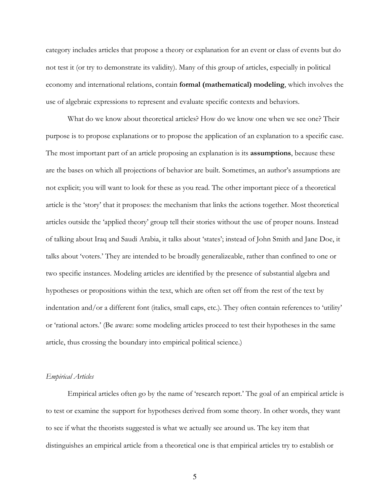category includes articles that propose a theory or explanation for an event or class of events but do not test it (or try to demonstrate its validity). Many of this group of articles, especially in political economy and international relations, contain **formal (mathematical) modeling**, which involves the use of algebraic expressions to represent and evaluate specific contexts and behaviors.

What do we know about theoretical articles? How do we know one when we see one? Their purpose is to propose explanations or to propose the application of an explanation to a specific case. The most important part of an article proposing an explanation is its **assumptions**, because these are the bases on which all projections of behavior are built. Sometimes, an author's assumptions are not explicit; you will want to look for these as you read. The other important piece of a theoretical article is the 'story' that it proposes: the mechanism that links the actions together. Most theoretical articles outside the 'applied theory' group tell their stories without the use of proper nouns. Instead of talking about Iraq and Saudi Arabia, it talks about 'states'; instead of John Smith and Jane Doe, it talks about 'voters.' They are intended to be broadly generalizeable, rather than confined to one or two specific instances. Modeling articles are identified by the presence of substantial algebra and hypotheses or propositions within the text, which are often set off from the rest of the text by indentation and/or a different font (italics, small caps, etc.). They often contain references to 'utility' or 'rational actors.' (Be aware: some modeling articles proceed to test their hypotheses in the same article, thus crossing the boundary into empirical political science.)

#### *Empirical Articles*

Empirical articles often go by the name of 'research report.' The goal of an empirical article is to test or examine the support for hypotheses derived from some theory. In other words, they want to see if what the theorists suggested is what we actually see around us. The key item that distinguishes an empirical article from a theoretical one is that empirical articles try to establish or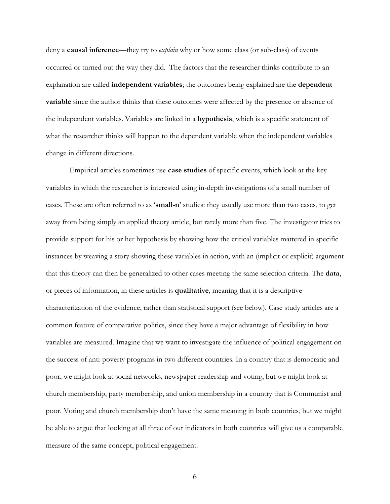deny a **causal inference**—they try to *explain* why or how some class (or sub-class) of events occurred or turned out the way they did. The factors that the researcher thinks contribute to an explanation are called **independent variables**; the outcomes being explained are the **dependent variable** since the author thinks that these outcomes were affected by the presence or absence of the independent variables. Variables are linked in a **hypothesis**, which is a specific statement of what the researcher thinks will happen to the dependent variable when the independent variables change in different directions.

 Empirical articles sometimes use **case studies** of specific events, which look at the key variables in which the researcher is interested using in-depth investigations of a small number of cases. These are often referred to as '**small-n**' studies: they usually use more than two cases, to get away from being simply an applied theory article, but rarely more than five. The investigator tries to provide support for his or her hypothesis by showing how the critical variables mattered in specific instances by weaving a story showing these variables in action, with an (implicit or explicit) argument that this theory can then be generalized to other cases meeting the same selection criteria. The **data**, or pieces of information, in these articles is **qualitative**, meaning that it is a descriptive characterization of the evidence, rather than statistical support (see below). Case study articles are a common feature of comparative politics, since they have a major advantage of flexibility in how variables are measured. Imagine that we want to investigate the influence of political engagement on the success of anti-poverty programs in two different countries. In a country that is democratic and poor, we might look at social networks, newspaper readership and voting, but we might look at church membership, party membership, and union membership in a country that is Communist and poor. Voting and church membership don't have the same meaning in both countries, but we might be able to argue that looking at all three of our indicators in both countries will give us a comparable measure of the same concept, political engagement.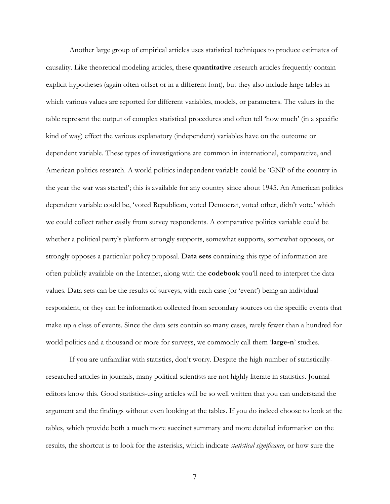Another large group of empirical articles uses statistical techniques to produce estimates of causality. Like theoretical modeling articles, these **quantitative** research articles frequently contain explicit hypotheses (again often offset or in a different font), but they also include large tables in which various values are reported for different variables, models, or parameters. The values in the table represent the output of complex statistical procedures and often tell 'how much' (in a specific kind of way) effect the various explanatory (independent) variables have on the outcome or dependent variable. These types of investigations are common in international, comparative, and American politics research. A world politics independent variable could be 'GNP of the country in the year the war was started'; this is available for any country since about 1945. An American politics dependent variable could be, 'voted Republican, voted Democrat, voted other, didn't vote,' which we could collect rather easily from survey respondents. A comparative politics variable could be whether a political party's platform strongly supports, somewhat supports, somewhat opposes, or strongly opposes a particular policy proposal. D**ata sets** containing this type of information are often publicly available on the Internet, along with the **codebook** you'll need to interpret the data values. Data sets can be the results of surveys, with each case (or 'event') being an individual respondent, or they can be information collected from secondary sources on the specific events that make up a class of events. Since the data sets contain so many cases, rarely fewer than a hundred for world politics and a thousand or more for surveys, we commonly call them '**large-n**' studies.

If you are unfamiliar with statistics, don't worry. Despite the high number of statisticallyresearched articles in journals, many political scientists are not highly literate in statistics. Journal editors know this. Good statistics-using articles will be so well written that you can understand the argument and the findings without even looking at the tables. If you do indeed choose to look at the tables, which provide both a much more succinct summary and more detailed information on the results, the shortcut is to look for the asterisks, which indicate *statistical significance*, or how sure the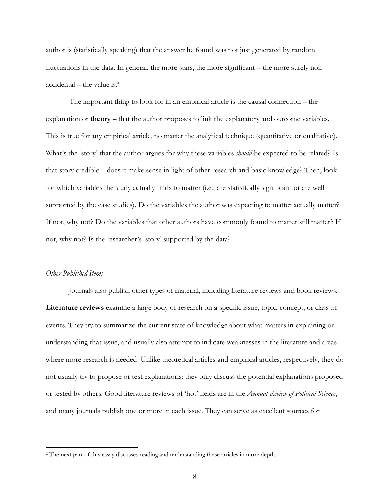author is (statistically speaking) that the answer he found was not just generated by random fluctuations in the data. In general, the more stars, the more significant – the more surely non $accidental - the value is.<sup>2</sup>$ 

The important thing to look for in an empirical article is the causal connection – the explanation or **theory** – that the author proposes to link the explanatory and outcome variables. This is true for any empirical article, no matter the analytical technique (quantitative or qualitative). What's the 'story' that the author argues for why these variables *should* be expected to be related? Is that story credible—does it make sense in light of other research and basic knowledge? Then, look for which variables the study actually finds to matter (i.e., are statistically significant or are well supported by the case studies). Do the variables the author was expecting to matter actually matter? If not, why not? Do the variables that other authors have commonly found to matter still matter? If not, why not? Is the researcher's 'story' supported by the data?

### *Other Published Items*

 $\overline{a}$ 

 Journals also publish other types of material, including literature reviews and book reviews. **Literature reviews** examine a large body of research on a specific issue, topic, concept, or class of events. They try to summarize the current state of knowledge about what matters in explaining or understanding that issue, and usually also attempt to indicate weaknesses in the literature and areas where more research is needed. Unlike theoretical articles and empirical articles, respectively, they do not usually try to propose or test explanations: they only discuss the potential explanations proposed or tested by others. Good literature reviews of 'hot' fields are in the *Annual Review of Political Science*, and many journals publish one or more in each issue. They can serve as excellent sources for

<sup>&</sup>lt;sup>2</sup> The next part of this essay discusses reading and understanding these articles in more depth.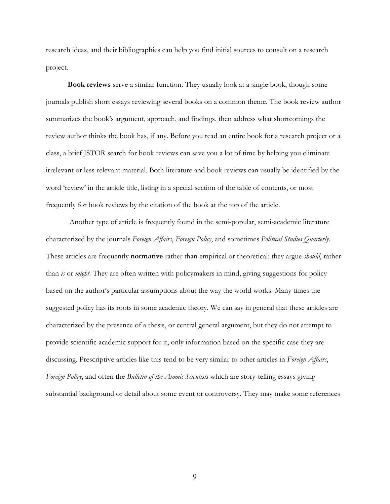research ideas, and their bibliographies can help you find initial sources to consult on a research project.

**Book reviews** serve a similar function. They usually look at a single book, though some journals publish short essays reviewing several books on a common theme. The book review author summarizes the book's argument, approach, and findings, then address what shortcomings the review author thinks the book has, if any. Before you read an entire book for a research project or a class, a brief JSTOR search for book reviews can save you a lot of time by helping you eliminate irrelevant or less-relevant material. Both literature and book reviews can usually be identified by the word 'review' in the article title, listing in a special section of the table of contents, or most frequently for book reviews by the citation of the book at the top of the article.

Another type of article is frequently found in the semi-popular, semi-academic literature characterized by the journals *Foreign Affairs*, *Foreign Policy*, and sometimes *Political Studies Quarterly*. These articles are frequently **normative** rather than empirical or theoretical: they argue *should*, rather than *is* or *might*. They are often written with policymakers in mind, giving suggestions for policy based on the author's particular assumptions about the way the world works. Many times the suggested policy has its roots in some academic theory. We can say in general that these articles are characterized by the presence of a thesis, or central general argument, but they do not attempt to provide scientific academic support for it, only information based on the specific case they are discussing. Prescriptive articles like this tend to be very similar to other articles in *Foreign Affairs*, *Foreign Policy*, and often the *Bulletin of the Atomic Scientists* which are story-telling essays giving substantial background or detail about some event or controversy. They may make some references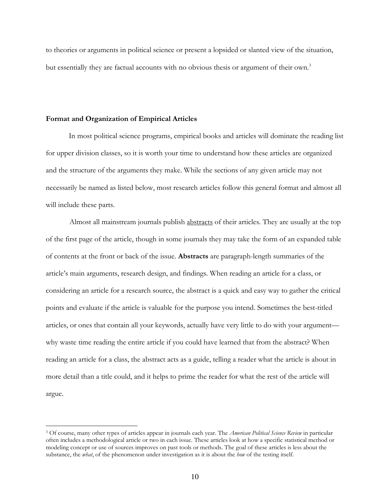to theories or arguments in political science or present a lopsided or slanted view of the situation, but essentially they are factual accounts with no obvious thesis or argument of their own.<sup>3</sup>

#### **Format and Organization of Empirical Articles**

-

In most political science programs, empirical books and articles will dominate the reading list for upper division classes, so it is worth your time to understand how these articles are organized and the structure of the arguments they make. While the sections of any given article may not necessarily be named as listed below, most research articles follow this general format and almost all will include these parts.

Almost all mainstream journals publish abstracts of their articles. They are usually at the top of the first page of the article, though in some journals they may take the form of an expanded table of contents at the front or back of the issue. **Abstracts** are paragraph-length summaries of the article's main arguments, research design, and findings. When reading an article for a class, or considering an article for a research source, the abstract is a quick and easy way to gather the critical points and evaluate if the article is valuable for the purpose you intend. Sometimes the best-titled articles, or ones that contain all your keywords, actually have very little to do with your argument why waste time reading the entire article if you could have learned that from the abstract? When reading an article for a class, the abstract acts as a guide, telling a reader what the article is about in more detail than a title could, and it helps to prime the reader for what the rest of the article will argue.

<sup>3</sup> Of course, many other types of articles appear in journals each year. The *American Political Science Review* in particular often includes a methodological article or two in each issue. These articles look at how a specific statistical method or modeling concept or use of sources improves on past tools or methods. The goal of these articles is less about the substance, the *what*, of the phenomenon under investigation as it is about the *how* of the testing itself.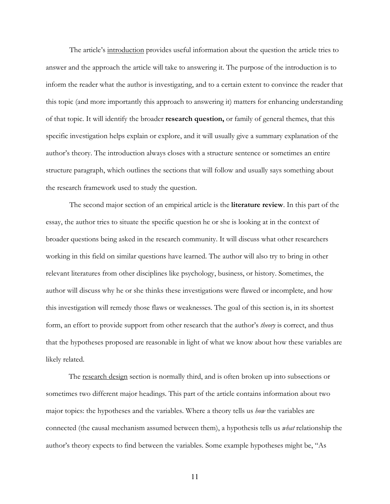The article's introduction provides useful information about the question the article tries to answer and the approach the article will take to answering it. The purpose of the introduction is to inform the reader what the author is investigating, and to a certain extent to convince the reader that this topic (and more importantly this approach to answering it) matters for enhancing understanding of that topic. It will identify the broader **research question,** or family of general themes, that this specific investigation helps explain or explore, and it will usually give a summary explanation of the author's theory. The introduction always closes with a structure sentence or sometimes an entire structure paragraph, which outlines the sections that will follow and usually says something about the research framework used to study the question.

The second major section of an empirical article is the **literature review**. In this part of the essay, the author tries to situate the specific question he or she is looking at in the context of broader questions being asked in the research community. It will discuss what other researchers working in this field on similar questions have learned. The author will also try to bring in other relevant literatures from other disciplines like psychology, business, or history. Sometimes, the author will discuss why he or she thinks these investigations were flawed or incomplete, and how this investigation will remedy those flaws or weaknesses. The goal of this section is, in its shortest form, an effort to provide support from other research that the author's *theory* is correct, and thus that the hypotheses proposed are reasonable in light of what we know about how these variables are likely related.

The <u>research design</u> section is normally third, and is often broken up into subsections or sometimes two different major headings. This part of the article contains information about two major topics: the hypotheses and the variables. Where a theory tells us *how* the variables are connected (the causal mechanism assumed between them), a hypothesis tells us *what* relationship the author's theory expects to find between the variables. Some example hypotheses might be, "As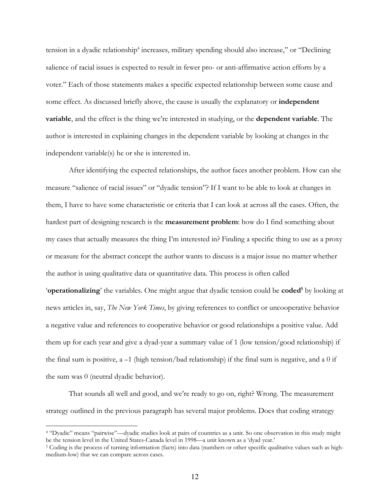tension in a dyadic relationship<sup>4</sup> increases, military spending should also increase," or "Declining salience of racial issues is expected to result in fewer pro- or anti-affirmative action efforts by a voter." Each of those statements makes a specific expected relationship between some cause and some effect. As discussed briefly above, the cause is usually the explanatory or **independent variable**, and the effect is the thing we're interested in studying, or the **dependent variable**. The author is interested in explaining changes in the dependent variable by looking at changes in the independent variable(s) he or she is interested in.

After identifying the expected relationships, the author faces another problem. How can she measure "salience of racial issues" or "dyadic tension"? If I want to be able to look at changes in them, I have to have some characteristic or criteria that I can look at across all the cases. Often, the hardest part of designing research is the **measurement problem**: how do I find something about my cases that actually measures the thing I'm interested in? Finding a specific thing to use as a proxy or measure for the abstract concept the author wants to discuss is a major issue no matter whether the author is using qualitative data or quantitative data. This process is often called '**operationalizing**' the variables. One might argue that dyadic tension could be **coded**<sup>5</sup> by looking at news articles in, say, *The New York Times*, by giving references to conflict or uncooperative behavior a negative value and references to cooperative behavior or good relationships a positive value. Add them up for each year and give a dyad-year a summary value of 1 (low tension/good relationship) if

the final sum is positive,  $a -1$  (high tension/bad relationship) if the final sum is negative, and a 0 if the sum was 0 (neutral dyadic behavior).

That sounds all well and good, and we're ready to go on, right? Wrong. The measurement strategy outlined in the previous paragraph has several major problems. Does that coding strategy

<sup>4</sup> "Dyadic" means "pairwise"—dyadic studies look at pairs of countries as a unit. So one observation in this study might be the tension level in the United States-Canada level in 1998—a unit known as a 'dyad year.'

<sup>&</sup>lt;sup>5</sup> Coding is the process of turning information (facts) into data (numbers or other specific qualitative values such as highmedium-low) that we can compare across cases.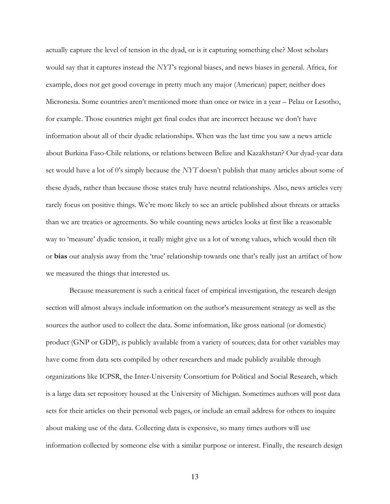actually capture the level of tension in the dyad, or is it capturing something else? Most scholars would say that it captures instead the *NYT*'s regional biases, and news biases in general. Africa, for example, does not get good coverage in pretty much any major (American) paper; neither does Micronesia. Some countries aren't mentioned more than once or twice in a year – Pelau or Lesotho, for example. Those countries might get final codes that are incorrect because we don't have information about all of their dyadic relationships. When was the last time you saw a news article about Burkina Faso-Chile relations, or relations between Belize and Kazakhstan? Our dyad-year data set would have a lot of 0's simply because the *NYT* doesn't publish that many articles about some of these dyads, rather than because those states truly have neutral relationships. Also, news articles very rarely focus on positive things. We're more likely to see an article published about threats or attacks than we are treaties or agreements. So while counting news articles looks at first like a reasonable way to 'measure' dyadic tension, it really might give us a lot of wrong values, which would then tilt or **bias** our analysis away from the 'true' relationship towards one that's really just an artifact of how we measured the things that interested us.

Because measurement is such a critical facet of empirical investigation, the research design section will almost always include information on the author's measurement strategy as well as the sources the author used to collect the data. Some information, like gross national (or domestic) product (GNP or GDP), is publicly available from a variety of sources; data for other variables may have come from data sets compiled by other researchers and made publicly available through organizations like ICPSR, the Inter-University Consortium for Political and Social Research, which is a large data set repository housed at the University of Michigan. Sometimes authors will post data sets for their articles on their personal web pages, or include an email address for others to inquire about making use of the data. Collecting data is expensive, so many times authors will use information collected by someone else with a similar purpose or interest. Finally, the research design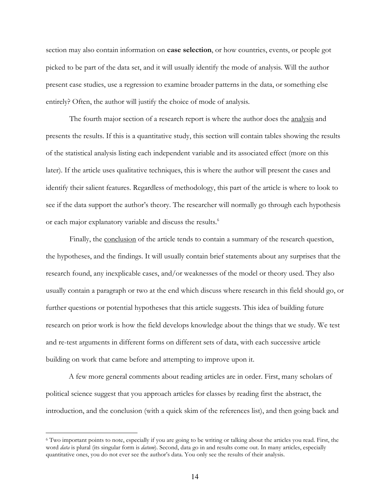section may also contain information on **case selection**, or how countries, events, or people got picked to be part of the data set, and it will usually identify the mode of analysis. Will the author present case studies, use a regression to examine broader patterns in the data, or something else entirely? Often, the author will justify the choice of mode of analysis.

The fourth major section of a research report is where the author does the analysis and presents the results. If this is a quantitative study, this section will contain tables showing the results of the statistical analysis listing each independent variable and its associated effect (more on this later). If the article uses qualitative techniques, this is where the author will present the cases and identify their salient features. Regardless of methodology, this part of the article is where to look to see if the data support the author's theory. The researcher will normally go through each hypothesis or each major explanatory variable and discuss the results.<sup>6</sup>

Finally, the conclusion of the article tends to contain a summary of the research question, the hypotheses, and the findings. It will usually contain brief statements about any surprises that the research found, any inexplicable cases, and/or weaknesses of the model or theory used. They also usually contain a paragraph or two at the end which discuss where research in this field should go, or further questions or potential hypotheses that this article suggests. This idea of building future research on prior work is how the field develops knowledge about the things that we study. We test and re-test arguments in different forms on different sets of data, with each successive article building on work that came before and attempting to improve upon it.

 A few more general comments about reading articles are in order. First, many scholars of political science suggest that you approach articles for classes by reading first the abstract, the introduction, and the conclusion (with a quick skim of the references list), and then going back and

<u>.</u>

<sup>6</sup> Two important points to note, especially if you are going to be writing or talking about the articles you read. First, the word *data* is plural (its singular form is *datum*). Second, data go in and results come out. In many articles, especially quantitative ones, you do not ever see the author's data. You only see the results of their analysis.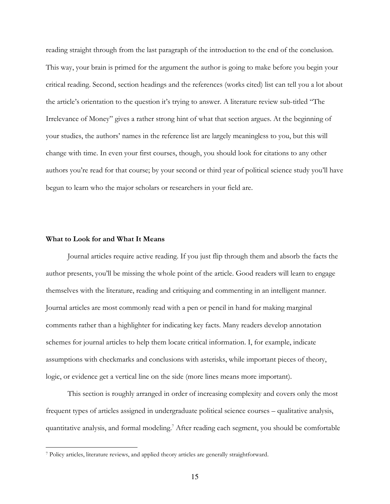reading straight through from the last paragraph of the introduction to the end of the conclusion. This way, your brain is primed for the argument the author is going to make before you begin your critical reading. Second, section headings and the references (works cited) list can tell you a lot about the article's orientation to the question it's trying to answer. A literature review sub-titled "The Irrelevance of Money" gives a rather strong hint of what that section argues. At the beginning of your studies, the authors' names in the reference list are largely meaningless to you, but this will change with time. In even your first courses, though, you should look for citations to any other authors you're read for that course; by your second or third year of political science study you'll have begun to learn who the major scholars or researchers in your field are.

#### **What to Look for and What It Means**

 $\overline{a}$ 

Journal articles require active reading. If you just flip through them and absorb the facts the author presents, you'll be missing the whole point of the article. Good readers will learn to engage themselves with the literature, reading and critiquing and commenting in an intelligent manner. Journal articles are most commonly read with a pen or pencil in hand for making marginal comments rather than a highlighter for indicating key facts. Many readers develop annotation schemes for journal articles to help them locate critical information. I, for example, indicate assumptions with checkmarks and conclusions with asterisks, while important pieces of theory, logic, or evidence get a vertical line on the side (more lines means more important).

This section is roughly arranged in order of increasing complexity and covers only the most frequent types of articles assigned in undergraduate political science courses – qualitative analysis, quantitative analysis, and formal modeling.<sup>7</sup> After reading each segment, you should be comfortable

<sup>7</sup> Policy articles, literature reviews, and applied theory articles are generally straightforward.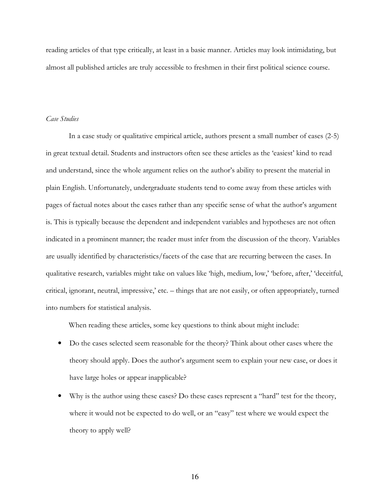reading articles of that type critically, at least in a basic manner. Articles may look intimidating, but almost all published articles are truly accessible to freshmen in their first political science course.

### *Case Studies*

 In a case study or qualitative empirical article, authors present a small number of cases (2-5) in great textual detail. Students and instructors often see these articles as the 'easiest' kind to read and understand, since the whole argument relies on the author's ability to present the material in plain English. Unfortunately, undergraduate students tend to come away from these articles with pages of factual notes about the cases rather than any specific sense of what the author's argument is. This is typically because the dependent and independent variables and hypotheses are not often indicated in a prominent manner; the reader must infer from the discussion of the theory. Variables are usually identified by characteristics/facets of the case that are recurring between the cases. In qualitative research, variables might take on values like 'high, medium, low,' 'before, after,' 'deceitful, critical, ignorant, neutral, impressive,' etc. – things that are not easily, or often appropriately, turned into numbers for statistical analysis.

When reading these articles, some key questions to think about might include:

- Do the cases selected seem reasonable for the theory? Think about other cases where the theory should apply. Does the author's argument seem to explain your new case, or does it have large holes or appear inapplicable?
- Why is the author using these cases? Do these cases represent a "hard" test for the theory, where it would not be expected to do well, or an "easy" test where we would expect the theory to apply well?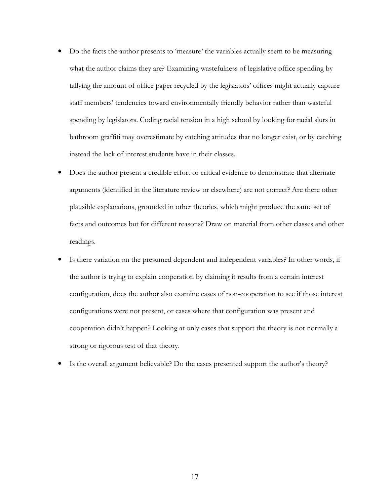- Do the facts the author presents to 'measure' the variables actually seem to be measuring what the author claims they are? Examining wastefulness of legislative office spending by tallying the amount of office paper recycled by the legislators' offices might actually capture staff members' tendencies toward environmentally friendly behavior rather than wasteful spending by legislators. Coding racial tension in a high school by looking for racial slurs in bathroom graffiti may overestimate by catching attitudes that no longer exist, or by catching instead the lack of interest students have in their classes.
- Does the author present a credible effort or critical evidence to demonstrate that alternate arguments (identified in the literature review or elsewhere) are not correct? Are there other plausible explanations, grounded in other theories, which might produce the same set of facts and outcomes but for different reasons? Draw on material from other classes and other readings.
- Is there variation on the presumed dependent and independent variables? In other words, if the author is trying to explain cooperation by claiming it results from a certain interest configuration, does the author also examine cases of non-cooperation to see if those interest configurations were not present, or cases where that configuration was present and cooperation didn't happen? Looking at only cases that support the theory is not normally a strong or rigorous test of that theory.
- Is the overall argument believable? Do the cases presented support the author's theory?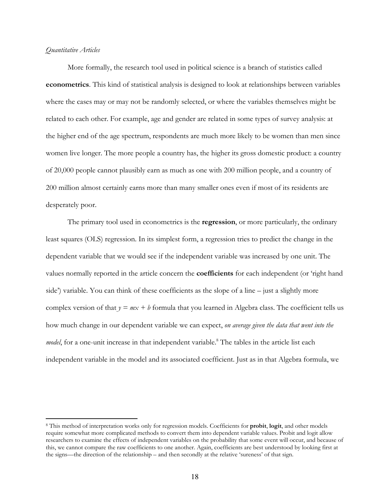### *Quantitative Articles*

-

More formally, the research tool used in political science is a branch of statistics called **econometrics**. This kind of statistical analysis is designed to look at relationships between variables where the cases may or may not be randomly selected, or where the variables themselves might be related to each other. For example, age and gender are related in some types of survey analysis: at the higher end of the age spectrum, respondents are much more likely to be women than men since women live longer. The more people a country has, the higher its gross domestic product: a country of 20,000 people cannot plausibly earn as much as one with 200 million people, and a country of 200 million almost certainly earns more than many smaller ones even if most of its residents are desperately poor.

The primary tool used in econometrics is the **regression**, or more particularly, the ordinary least squares (OLS) regression. In its simplest form, a regression tries to predict the change in the dependent variable that we would see if the independent variable was increased by one unit. The values normally reported in the article concern the **coefficients** for each independent (or 'right hand side') variable. You can think of these coefficients as the slope of a line  $-$  just a slightly more complex version of that  $y = mx + b$  formula that you learned in Algebra class. The coefficient tells us how much change in our dependent variable we can expect, *on average given the data that went into the*  model, for a one-unit increase in that independent variable.<sup>8</sup> The tables in the article list each independent variable in the model and its associated coefficient. Just as in that Algebra formula, we

<sup>8</sup> This method of interpretation works only for regression models. Coefficients for **probit**, **logit**, and other models require somewhat more complicated methods to convert them into dependent variable values. Probit and logit allow researchers to examine the effects of independent variables on the probability that some event will occur, and because of this, we cannot compare the raw coefficients to one another. Again, coefficients are best understood by looking first at the signs—the direction of the relationship – and then secondly at the relative 'sureness' of that sign.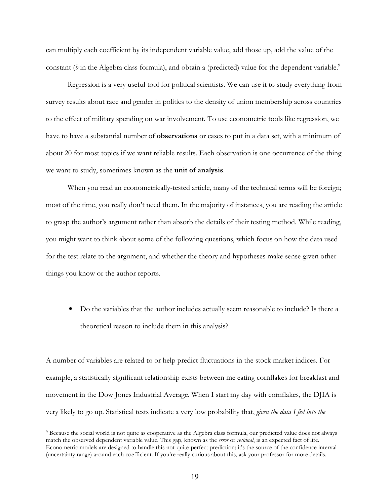can multiply each coefficient by its independent variable value, add those up, add the value of the constant (*b* in the Algebra class formula), and obtain a (predicted) value for the dependent variable.<sup>9</sup>

Regression is a very useful tool for political scientists. We can use it to study everything from survey results about race and gender in politics to the density of union membership across countries to the effect of military spending on war involvement. To use econometric tools like regression, we have to have a substantial number of **observations** or cases to put in a data set, with a minimum of about 20 for most topics if we want reliable results. Each observation is one occurrence of the thing we want to study, sometimes known as the **unit of analysis**.

When you read an econometrically-tested article, many of the technical terms will be foreign; most of the time, you really don't need them. In the majority of instances, you are reading the article to grasp the author's argument rather than absorb the details of their testing method. While reading, you might want to think about some of the following questions, which focus on how the data used for the test relate to the argument, and whether the theory and hypotheses make sense given other things you know or the author reports.

• Do the variables that the author includes actually seem reasonable to include? Is there a theoretical reason to include them in this analysis?

A number of variables are related to or help predict fluctuations in the stock market indices. For example, a statistically significant relationship exists between me eating cornflakes for breakfast and movement in the Dow Jones Industrial Average. When I start my day with cornflakes, the DJIA is very likely to go up. Statistical tests indicate a very low probability that, *given the data I fed into the* 

<sup>9</sup> Because the social world is not quite as cooperative as the Algebra class formula, our predicted value does not always match the observed dependent variable value. This gap, known as the *error* or *residual*, is an expected fact of life. Econometric models are designed to handle this not-quite-perfect prediction; it's the source of the confidence interval (uncertainty range) around each coefficient. If you're really curious about this, ask your professor for more details.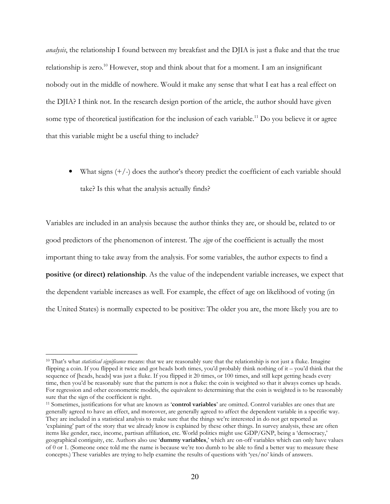*analysis*, the relationship I found between my breakfast and the DJIA is just a fluke and that the true relationship is zero.<sup>10</sup> However, stop and think about that for a moment. I am an insignificant nobody out in the middle of nowhere. Would it make any sense that what I eat has a real effect on the DJIA? I think not. In the research design portion of the article, the author should have given some type of theoretical justification for the inclusion of each variable.<sup>11</sup> Do you believe it or agree that this variable might be a useful thing to include?

• What signs  $(+/-)$  does the author's theory predict the coefficient of each variable should take? Is this what the analysis actually finds?

Variables are included in an analysis because the author thinks they are, or should be, related to or good predictors of the phenomenon of interest. The *sign* of the coefficient is actually the most important thing to take away from the analysis. For some variables, the author expects to find a **positive (or direct) relationship**. As the value of the independent variable increases, we expect that the dependent variable increases as well. For example, the effect of age on likelihood of voting (in the United States) is normally expected to be positive: The older you are, the more likely you are to

<sup>10</sup> That's what *statistical significance* means: that we are reasonably sure that the relationship is not just a fluke. Imagine flipping a coin. If you flipped it twice and got heads both times, you'd probably think nothing of it – you'd think that the sequence of [heads, heads] was just a fluke. If you flipped it 20 times, or 100 times, and still kept getting heads every time, then you'd be reasonably sure that the pattern is not a fluke: the coin is weighted so that it always comes up heads. For regression and other econometric models, the equivalent to determining that the coin is weighted is to be reasonably sure that the sign of the coefficient is right.

<sup>11</sup> Sometimes, justifications for what are known as '**control variables**' are omitted. Control variables are ones that are generally agreed to have an effect, and moreover, are generally agreed to affect the dependent variable in a specific way. They are included in a statistical analysis to make sure that the things we're interested in do not get reported as 'explaining' part of the story that we already know is explained by these other things. In survey analysis, these are often items like gender, race, income, partisan affiliation, etc. World politics might use GDP/GNP, being a 'democracy,' geographical contiguity, etc. Authors also use '**dummy variables**,' which are on-off variables which can only have values of 0 or 1. (Someone once told me the name is because we're too dumb to be able to find a better way to measure these concepts.) These variables are trying to help examine the results of questions with 'yes/no' kinds of answers.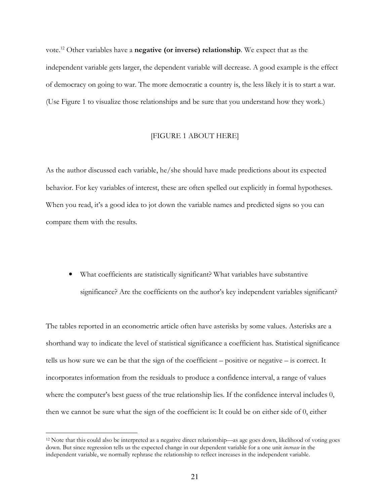vote.<sup>12</sup> Other variables have a **negative (or inverse) relationship**. We expect that as the independent variable gets larger, the dependent variable will decrease. A good example is the effect of democracy on going to war. The more democratic a country is, the less likely it is to start a war. (Use Figure 1 to visualize those relationships and be sure that you understand how they work.)

### [FIGURE 1 ABOUT HERE]

As the author discussed each variable, he/she should have made predictions about its expected behavior. For key variables of interest, these are often spelled out explicitly in formal hypotheses. When you read, it's a good idea to jot down the variable names and predicted signs so you can compare them with the results.

• What coefficients are statistically significant? What variables have substantive significance? Are the coefficients on the author's key independent variables significant?

The tables reported in an econometric article often have asterisks by some values. Asterisks are a shorthand way to indicate the level of statistical significance a coefficient has. Statistical significance tells us how sure we can be that the sign of the coefficient – positive or negative – is correct. It incorporates information from the residuals to produce a confidence interval, a range of values where the computer's best guess of the true relationship lies. If the confidence interval includes 0, then we cannot be sure what the sign of the coefficient is: It could be on either side of 0, either

<sup>12</sup> Note that this could also be interpreted as a negative direct relationship—as age goes down, likelihood of voting goes down. But since regression tells us the expected change in our dependent variable for a one unit *increase* in the independent variable, we normally rephrase the relationship to reflect increases in the independent variable.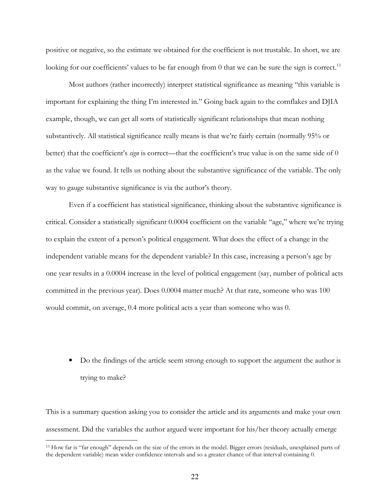positive or negative, so the estimate we obtained for the coefficient is not trustable. In short, we are looking for our coefficients' values to be far enough from  $0$  that we can be sure the sign is correct.<sup>13</sup>

 Most authors (rather incorrectly) interpret statistical significance as meaning "this variable is important for explaining the thing I'm interested in." Going back again to the cornflakes and DJIA example, though, we can get all sorts of statistically significant relationships that mean nothing substantively. All statistical significance really means is that we're fairly certain (normally 95% or better) that the coefficient's *sign* is correct—that the coefficient's true value is on the same side of 0 as the value we found. It tells us nothing about the substantive significance of the variable. The only way to gauge substantive significance is via the author's theory.

 Even if a coefficient has statistical significance, thinking about the substantive significance is critical. Consider a statistically significant 0.0004 coefficient on the variable "age," where we're trying to explain the extent of a person's political engagement. What does the effect of a change in the independent variable means for the dependent variable? In this case, increasing a person's age by one year results in a 0.0004 increase in the level of political engagement (say, number of political acts committed in the previous year). Does 0.0004 matter much? At that rate, someone who was 100 would commit, on average, 0.4 more political acts a year than someone who was 0.

• Do the findings of the article seem strong enough to support the argument the author is trying to make?

This is a summary question asking you to consider the article and its arguments and make your own assessment. Did the variables the author argued were important for his/her theory actually emerge

<sup>&</sup>lt;sup>13</sup> How far is "far enough" depends on the size of the errors in the model. Bigger errors (residuals, unexplained parts of the dependent variable) mean wider confidence intervals and so a greater chance of that interval containing 0.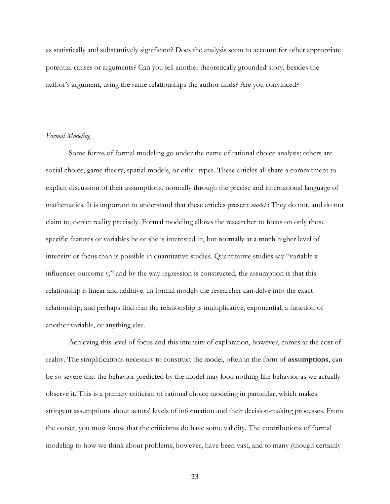as statistically and substantively significant? Does the analysis seem to account for other appropriate potential causes or arguments? Can you tell another theoretically grounded story, besides the author's argument, using the same relationships the author finds? Are you convinced?

### *Formal Modeling*

 Some forms of formal modeling go under the name of rational choice analysis; others are social choice, game theory, spatial models, or other types. These articles all share a commitment to explicit discussion of their assumptions, normally through the precise and international language of mathematics. It is important to understand that these articles present *models*: They do not, and do not claim to, depict reality precisely. Formal modeling allows the researcher to focus on only those specific features or variables he or she is interested in, but normally at a much higher level of intensity or focus than is possible in quantitative studies. Quantitative studies say "variable x influences outcome y," and by the way regression is constructed, the assumption is that this relationship is linear and additive. In formal models the researcher can delve into the exact relationship, and perhaps find that the relationship is multiplicative, exponential, a function of another variable, or anything else.

Achieving this level of focus and this intensity of exploration, however, comes at the cost of reality. The simplifications necessary to construct the model, often in the form of **assumptions**, can be so severe that the behavior predicted by the model may look nothing like behavior as we actually observe it. This is a primary criticism of rational choice modeling in particular, which makes stringent assumptions about actors' levels of information and their decision-making processes. From the outset, you must know that the criticisms do have some validity. The contributions of formal modeling to how we think about problems, however, have been vast, and to many (though certainly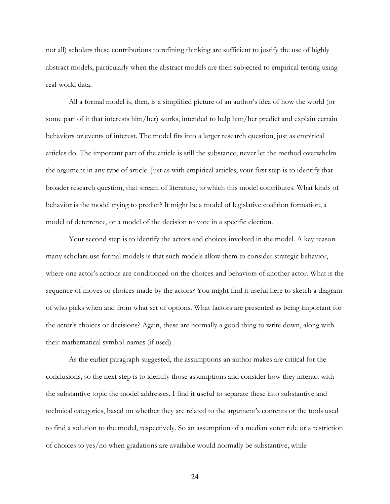not all) scholars these contributions to refining thinking are sufficient to justify the use of highly abstract models, particularly when the abstract models are then subjected to empirical testing using real-world data.

All a formal model is, then, is a simplified picture of an author's idea of how the world (or some part of it that interests him/her) works, intended to help him/her predict and explain certain behaviors or events of interest. The model fits into a larger research question, just as empirical articles do. The important part of the article is still the substance; never let the method overwhelm the argument in any type of article. Just as with empirical articles, your first step is to identify that broader research question, that stream of literature, to which this model contributes. What kinds of behavior is the model trying to predict? It might be a model of legislative coalition formation, a model of deterrence, or a model of the decision to vote in a specific election.

Your second step is to identify the actors and choices involved in the model. A key reason many scholars use formal models is that such models allow them to consider strategic behavior, where one actor's actions are conditioned on the choices and behaviors of another actor. What is the sequence of moves or choices made by the actors? You might find it useful here to sketch a diagram of who picks when and from what set of options. What factors are presented as being important for the actor's choices or decisions? Again, these are normally a good thing to write down, along with their mathematical symbol-names (if used).

As the earlier paragraph suggested, the assumptions an author makes are critical for the conclusions, so the next step is to identify those assumptions and consider how they interact with the substantive topic the model addresses. I find it useful to separate these into substantive and technical categories, based on whether they are related to the argument's contents or the tools used to find a solution to the model, respectively. So an assumption of a median voter rule or a restriction of choices to yes/no when gradations are available would normally be substantive, while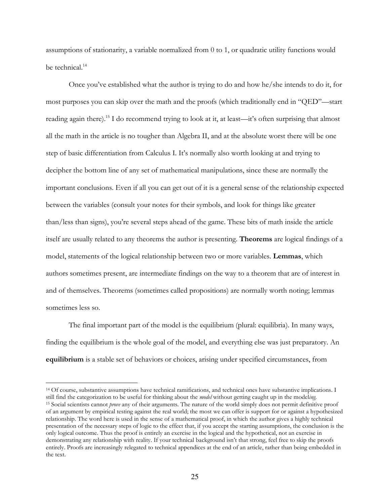assumptions of stationarity, a variable normalized from 0 to 1, or quadratic utility functions would be technical.<sup>14</sup>

Once you've established what the author is trying to do and how he/she intends to do it, for most purposes you can skip over the math and the proofs (which traditionally end in "QED"—start reading again there).<sup>15</sup> I do recommend trying to look at it, at least—it's often surprising that almost all the math in the article is no tougher than Algebra II, and at the absolute worst there will be one step of basic differentiation from Calculus I. It's normally also worth looking at and trying to decipher the bottom line of any set of mathematical manipulations, since these are normally the important conclusions. Even if all you can get out of it is a general sense of the relationship expected between the variables (consult your notes for their symbols, and look for things like greater than/less than signs), you're several steps ahead of the game. These bits of math inside the article itself are usually related to any theorems the author is presenting. **Theorems** are logical findings of a model, statements of the logical relationship between two or more variables. **Lemmas**, which authors sometimes present, are intermediate findings on the way to a theorem that are of interest in and of themselves. Theorems (sometimes called propositions) are normally worth noting; lemmas sometimes less so.

 The final important part of the model is the equilibrium (plural: equilibria). In many ways, finding the equilibrium is the whole goal of the model, and everything else was just preparatory. An **equilibrium** is a stable set of behaviors or choices, arising under specified circumstances, from

<u>.</u>

<sup>&</sup>lt;sup>14</sup> Of course, substantive assumptions have technical ramifications, and technical ones have substantive implications. I still find the categorization to be useful for thinking about the *model* without getting caught up in the model*ing*. <sup>15</sup> Social scientists cannot *prove* any of their arguments. The nature of the world simply does not permit definitive proof of an argument by empirical testing against the real world; the most we can offer is support for or against a hypothesized relationship. The word here is used in the sense of a mathematical proof, in which the author gives a highly technical presentation of the necessary steps of logic to the effect that, if you accept the starting assumptions, the conclusion is the only logical outcome. Thus the proof is entirely an exercise in the logical and the hypothetical, not an exercise in demonstrating any relationship with reality. If your technical background isn't that strong, feel free to skip the proofs entirely. Proofs are increasingly relegated to technical appendices at the end of an article, rather than being embedded in the text.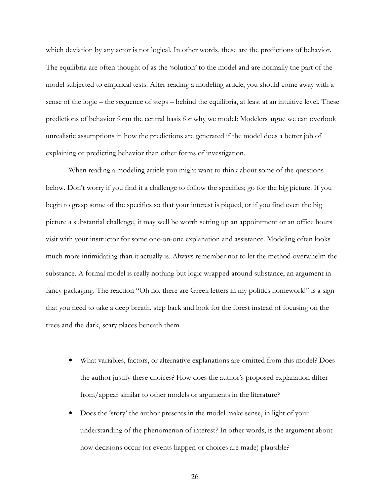which deviation by any actor is not logical. In other words, these are the predictions of behavior. The equilibria are often thought of as the 'solution' to the model and are normally the part of the model subjected to empirical tests. After reading a modeling article, you should come away with a sense of the logic – the sequence of steps – behind the equilibria, at least at an intuitive level. These predictions of behavior form the central basis for why we model: Modelers argue we can overlook unrealistic assumptions in how the predictions are generated if the model does a better job of explaining or predicting behavior than other forms of investigation.

 When reading a modeling article you might want to think about some of the questions below. Don't worry if you find it a challenge to follow the specifics; go for the big picture. If you begin to grasp some of the specifics so that your interest is piqued, or if you find even the big picture a substantial challenge, it may well be worth setting up an appointment or an office hours visit with your instructor for some one-on-one explanation and assistance. Modeling often looks much more intimidating than it actually is. Always remember not to let the method overwhelm the substance. A formal model is really nothing but logic wrapped around substance, an argument in fancy packaging. The reaction "Oh no, there are Greek letters in my politics homework!" is a sign that you need to take a deep breath, step back and look for the forest instead of focusing on the trees and the dark, scary places beneath them.

- What variables, factors, or alternative explanations are omitted from this model? Does the author justify these choices? How does the author's proposed explanation differ from/appear similar to other models or arguments in the literature?
- Does the 'story' the author presents in the model make sense, in light of your understanding of the phenomenon of interest? In other words, is the argument about how decisions occur (or events happen or choices are made) plausible?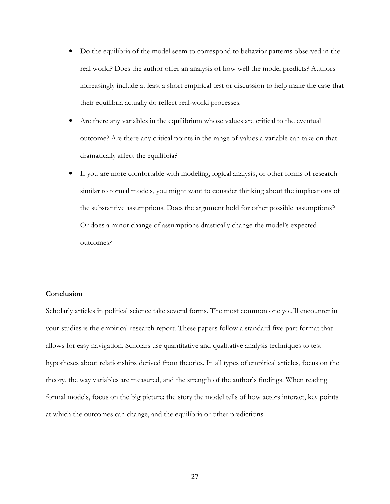- Do the equilibria of the model seem to correspond to behavior patterns observed in the real world? Does the author offer an analysis of how well the model predicts? Authors increasingly include at least a short empirical test or discussion to help make the case that their equilibria actually do reflect real-world processes.
- Are there any variables in the equilibrium whose values are critical to the eventual outcome? Are there any critical points in the range of values a variable can take on that dramatically affect the equilibria?
- If you are more comfortable with modeling, logical analysis, or other forms of research similar to formal models, you might want to consider thinking about the implications of the substantive assumptions. Does the argument hold for other possible assumptions? Or does a minor change of assumptions drastically change the model's expected outcomes?

### **Conclusion**

Scholarly articles in political science take several forms. The most common one you'll encounter in your studies is the empirical research report. These papers follow a standard five-part format that allows for easy navigation. Scholars use quantitative and qualitative analysis techniques to test hypotheses about relationships derived from theories. In all types of empirical articles, focus on the theory, the way variables are measured, and the strength of the author's findings. When reading formal models, focus on the big picture: the story the model tells of how actors interact, key points at which the outcomes can change, and the equilibria or other predictions.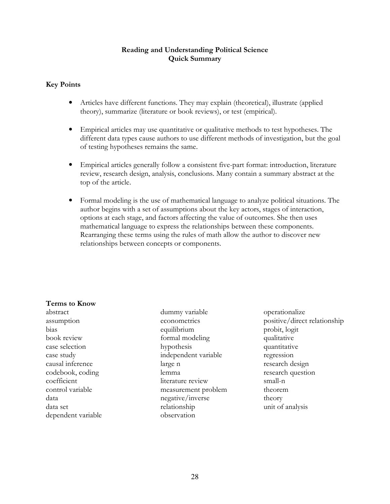# **Reading and Understanding Political Science Quick Summary**

# **Key Points**

- Articles have different functions. They may explain (theoretical), illustrate (applied theory), summarize (literature or book reviews), or test (empirical).
- Empirical articles may use quantitative or qualitative methods to test hypotheses. The different data types cause authors to use different methods of investigation, but the goal of testing hypotheses remains the same.
- Empirical articles generally follow a consistent five-part format: introduction, literature review, research design, analysis, conclusions. Many contain a summary abstract at the top of the article.
- Formal modeling is the use of mathematical language to analyze political situations. The author begins with a set of assumptions about the key actors, stages of interaction, options at each stage, and factors affecting the value of outcomes. She then uses mathematical language to express the relationships between these components. Rearranging these terms using the rules of math allow the author to discover new relationships between concepts or components.

# **Terms to Know**

abstract assumption bias book review case selection case study causal inference codebook, coding coefficient control variable data data set dependent variable dummy variable econometrics equilibrium formal modeling hypothesis independent variable large n lemma literature review measurement problem negative/inverse relationship observation

operationalize positive/direct relationship probit, logit qualitative quantitative regression research design research question small-n theorem theory unit of analysis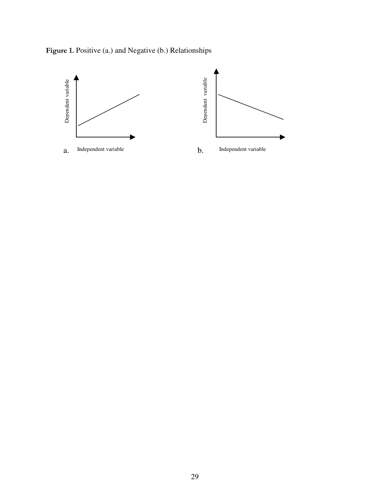

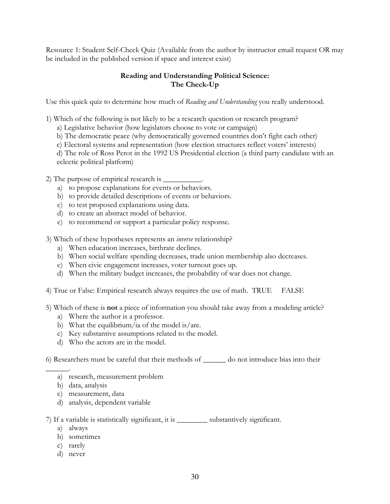Resource 1: Student Self-Check Quiz (Available from the author by instructor email request OR may be included in the published version if space and interest exist)

# **Reading and Understanding Political Science: The Check-Up**

Use this quick quiz to determine how much of *Reading and Understanding* you really understood.

- 1) Which of the following is not likely to be a research question or research program?
	- a) Legislative behavior (how legislators choose to vote or campaign)
	- b) The democratic peace (why democratically governed countries don't fight each other)
	- c) Electoral systems and representation (how election structures reflect voters' interests)
	- d) The role of Ross Perot in the 1992 US Presidential election (a third party candidate with an eclectic political platform)

2) The purpose of empirical research is  $\overline{\phantom{a}}$ 

- a) to propose explanations for events or behaviors.
- b) to provide detailed descriptions of events or behaviors.
- c) to test proposed explanations using data.
- d) to create an abstract model of behavior.
- e) to recommend or support a particular policy response.
- 3) Which of these hypotheses represents an *inverse* relationship?
	- a) When education increases, birthrate declines.
	- b) When social welfare spending decreases, trade union membership also decreases.
	- c) When civic engagement increases, voter turnout goes up.
	- d) When the military budget increases, the probability of war does not change.
- 4) True or False: Empirical research always requires the use of math. TRUE FALSE
- 5) Which of these is **not** a piece of information you should take away from a modeling article?
	- a) Where the author is a professor.
	- b) What the equilibrium/ia of the model is/are.
	- c) Key substantive assumptions related to the model.
	- d) Who the actors are in the model.

6) Researchers must be careful that their methods of \_\_\_\_\_\_ do not introduce bias into their

- $\overline{\phantom{a}}$  . a) research, measurement problem
	- b) data, analysis
	- c) measurement, data
	- d) analysis, dependent variable

7) If a variable is statistically significant, it is \_\_\_\_\_\_\_\_ substantively significant.

- a) always
- b) sometimes
- c) rarely
- d) never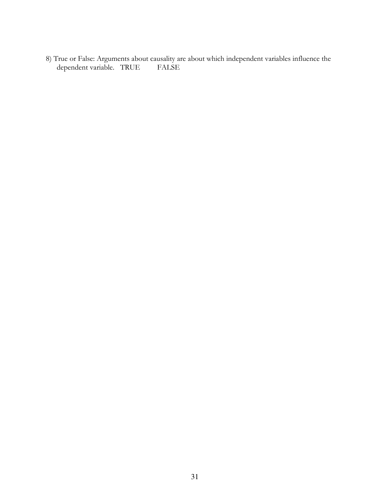8) True or False: Arguments about causality are about which independent variables influence the dependent variable. TRUE FALSE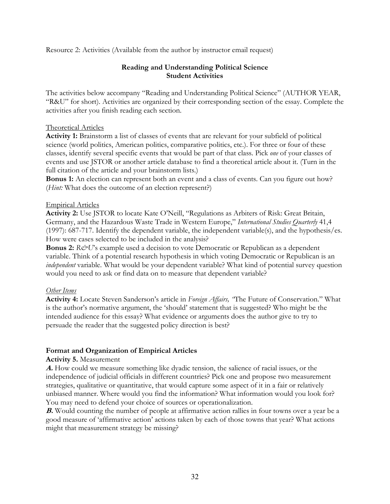Resource 2: Activities (Available from the author by instructor email request)

# **Reading and Understanding Political Science Student Activities**

The activities below accompany "Reading and Understanding Political Science" (AUTHOR YEAR, "R&U" for short). Activities are organized by their corresponding section of the essay. Complete the activities after you finish reading each section.

### Theoretical Articles

**Activity 1:** Brainstorm a list of classes of events that are relevant for your subfield of political science (world politics, American politics, comparative politics, etc.). For three or four of these classes, identify several specific events that would be part of that class. Pick *one* of your classes of events and use JSTOR or another article database to find a theoretical article about it. (Turn in the full citation of the article and your brainstorm lists.)

**Bonus 1:** An election can represent both an event and a class of events. Can you figure out how? (*Hint:* What does the outcome of an election represent?)

### Empirical Articles

**Activity 2:** Use JSTOR to locate Kate O'Neill, "Regulations as Arbiters of Risk: Great Britain, Germany, and the Hazardous Waste Trade in Western Europe," *International Studies Quarterly* 41,4 (1997): 687-717. Identify the dependent variable, the independent variable(s), and the hypothesis/es. How were cases selected to be included in the analysis?

**Bonus 2:**  $R\&\text{U}$ 's example used a decision to vote Democratic or Republican as a dependent variable. Think of a potential research hypothesis in which voting Democratic or Republican is an *independent* variable. What would be your dependent variable? What kind of potential survey question would you need to ask or find data on to measure that dependent variable?

### *Other Items*

**Activity 4:** Locate Steven Sanderson's article in *Foreign Affairs, "*The Future of Conservation." What is the author's normative argument, the 'should' statement that is suggested? Who might be the intended audience for this essay? What evidence or arguments does the author give to try to persuade the reader that the suggested policy direction is best?

# **Format and Organization of Empirical Articles**

# **Activity 5.** Measurement

**A.** How could we measure something like dyadic tension, the salience of racial issues, or the independence of judicial officials in different countries? Pick one and propose two measurement strategies, qualitative or quantitative, that would capture some aspect of it in a fair or relatively unbiased manner. Where would you find the information? What information would you look for? You may need to defend your choice of sources or operationalization.

**B.** Would counting the number of people at affirmative action rallies in four towns over a year be a good measure of 'affirmative action' actions taken by each of those towns that year? What actions might that measurement strategy be missing?